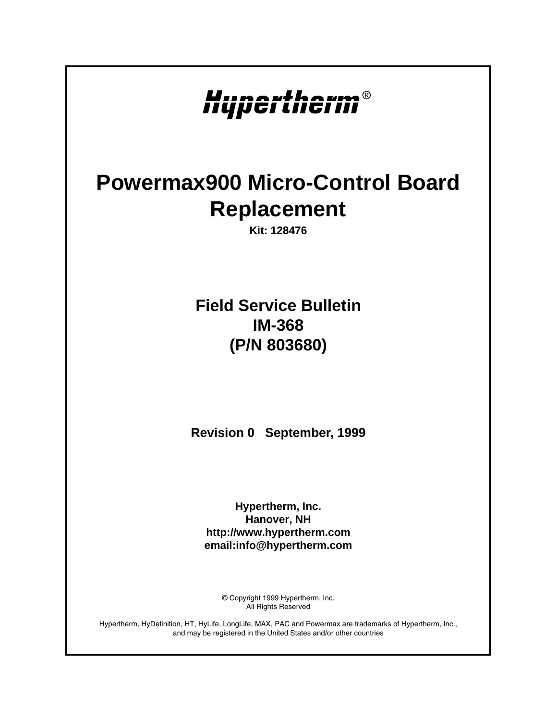# Hypertherm®

## **Powermax900 Micro-Control Board Replacement**

**Kit: 128476**

## **Field Service Bulletin IM-368 (P/N 803680)**

**Revision 0 September, 1999**

**Hypertherm, Inc. Hanover, NH http://www.hypertherm.com email:info@hypertherm.com**

> © Copyright 1999 Hypertherm, Inc. All Rights Reserved

Hypertherm, HyDefinition, HT, HyLife, LongLife, MAX, PAC and Powermax are trademarks of Hypertherm, Inc., and may be registered in the United States and/or other countries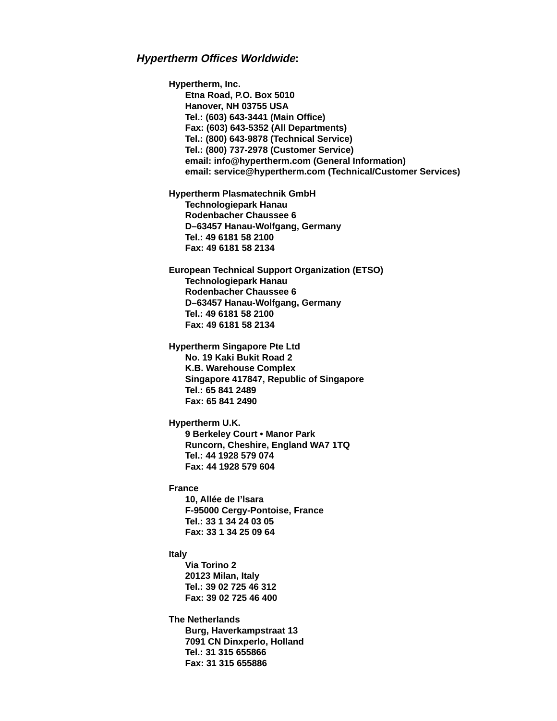#### **Hypertherm Offices Worldwide:**

**Hypertherm, Inc. Etna Road, P.O. Box 5010 Hanover, NH 03755 USA Tel.: (603) 643-3441 (Main Office) Fax: (603) 643-5352 (All Departments) Tel.: (800) 643-9878 (Technical Service) Tel.: (800) 737-2978 (Customer Service) email: info@hypertherm.com (General Information) email: service@hypertherm.com (Technical/Customer Services) Hypertherm Plasmatechnik GmbH Technologiepark Hanau Rodenbacher Chaussee 6 D–63457 Hanau-Wolfgang, Germany Tel.: 49 6181 58 2100 Fax: 49 6181 58 2134 European Technical Support Organization (ETSO) Technologiepark Hanau Rodenbacher Chaussee 6 D–63457 Hanau-Wolfgang, Germany Tel.: 49 6181 58 2100 Fax: 49 6181 58 2134 Hypertherm Singapore Pte Ltd No. 19 Kaki Bukit Road 2 K.B. Warehouse Complex Singapore 417847, Republic of Singapore Tel.: 65 841 2489 Fax: 65 841 2490 Hypertherm U.K. 9 Berkeley Court • Manor Park Runcorn, Cheshire, England WA7 1TQ Tel.: 44 1928 579 074 Fax: 44 1928 579 604 France 10, Allée de I'lsara F-95000 Cergy-Pontoise, France Tel.: 33 1 34 24 03 05 Fax: 33 1 34 25 09 64 Italy Via Torino 2 20123 Milan, Italy Tel.: 39 02 725 46 312 Fax: 39 02 725 46 400 The Netherlands Burg, Haverkampstraat 13 7091 CN Dinxperlo, Holland Tel.: 31 315 655866 Fax: 31 315 655886**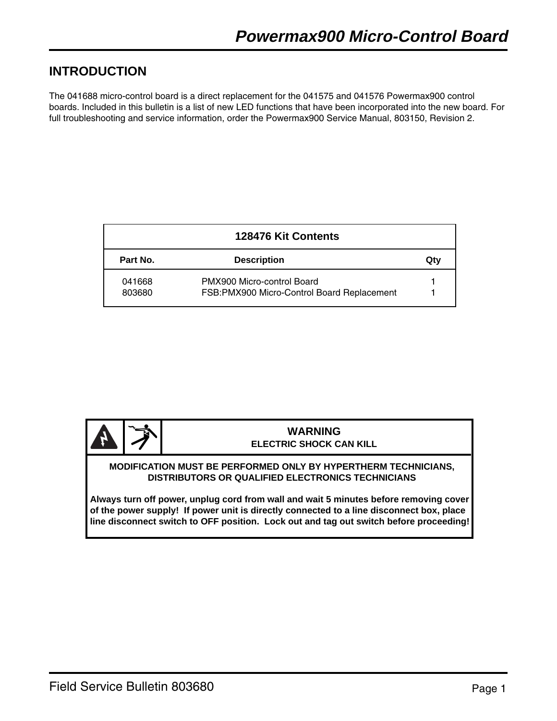## **INTRODUCTION**

The 041688 micro-control board is a direct replacement for the 041575 and 041576 Powermax900 control boards. Included in this bulletin is a list of new LED functions that have been incorporated into the new board. For full troubleshooting and service information, order the Powermax900 Service Manual, 803150, Revision 2.

| 128476 Kit Contents |                                                                          |     |  |  |
|---------------------|--------------------------------------------------------------------------|-----|--|--|
| Part No.            | <b>Description</b>                                                       | Qtv |  |  |
| 041668<br>803680    | PMX900 Micro-control Board<br>FSB:PMX900 Micro-Control Board Replacement |     |  |  |



#### **WARNING ELECTRIC SHOCK CAN KILL**

#### **MODIFICATION MUST BE PERFORMED ONLY BY HYPERTHERM TECHNICIANS, DISTRIBUTORS OR QUALIFIED ELECTRONICS TECHNICIANS**

**Always turn off power, unplug cord from wall and wait 5 minutes before removing cover of the power supply! If power unit is directly connected to a line disconnect box, place line disconnect switch to OFF position. Lock out and tag out switch before proceeding!**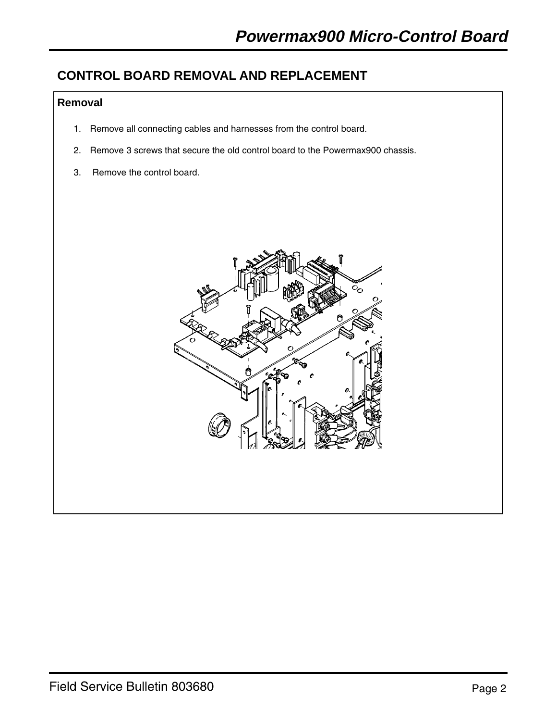## **CONTROL BOARD REMOVAL AND REPLACEMENT**

## **Removal**

- 1. Remove all connecting cables and harnesses from the control board.
- 2. Remove 3 screws that secure the old control board to the Powermax900 chassis.
- 3. Remove the control board.

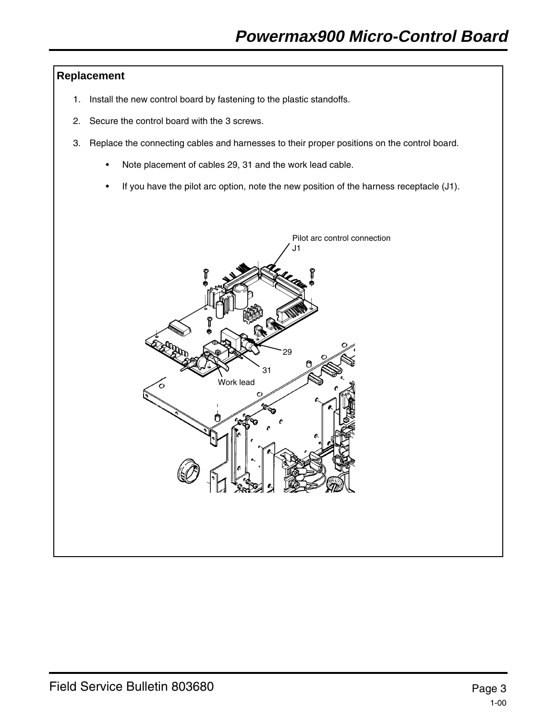## **Replacement**

- 1. Install the new control board by fastening to the plastic standoffs.
- 2. Secure the control board with the 3 screws.
- 3. Replace the connecting cables and harnesses to their proper positions on the control board.
	- Note placement of cables 29, 31 and the work lead cable.
	- If you have the pilot arc option, note the new position of the harness receptacle (J1).

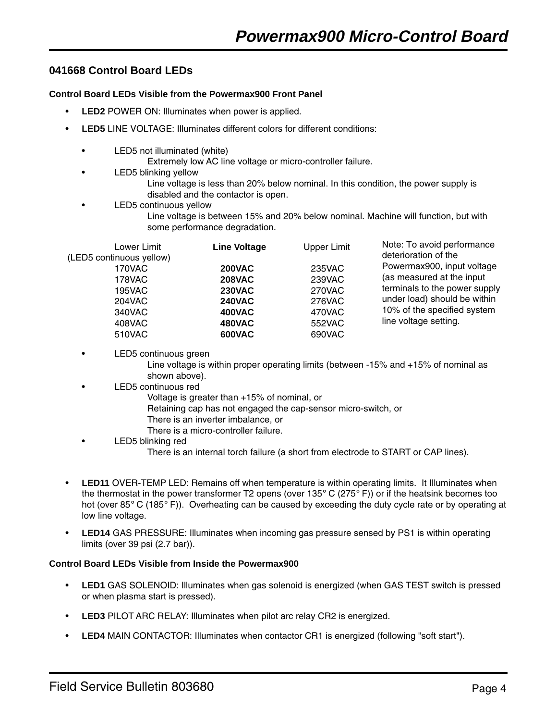## **041668 Control Board LEDs**

#### **Control Board LEDs Visible from the Powermax900 Front Panel**

- **LED2** POWER ON: Illuminates when power is applied.
- **LED5** LINE VOLTAGE: Illuminates different colors for different conditions:
	- LED5 not illuminated (white)
		- Extremely low AC line voltage or micro-controller failure.
	- LED5 blinking yellow
		- Line voltage is less than 20% below nominal. In this condition, the power supply is disabled and the contactor is open.
	- LED5 continuous vellow

Line voltage is between 15% and 20% below nominal. Machine will function, but with some performance degradation.

| Lower Limit              | <b>Line Voltage</b> | <b>Upper Limit</b> | Note: To avoid performance                                                           |
|--------------------------|---------------------|--------------------|--------------------------------------------------------------------------------------|
| (LED5 continuous yellow) |                     |                    | deterioration of the                                                                 |
| 170VAC                   | <b>200VAC</b>       | 235VAC             | Powermax900, input voltage                                                           |
| 178VAC                   | <b>208VAC</b>       | 239VAC             | (as measured at the input                                                            |
| <b>195VAC</b>            | <b>230VAC</b>       | 270VAC             | terminals to the power supply                                                        |
| <b>204VAC</b>            | <b>240VAC</b>       | <b>276VAC</b>      | under load) should be within<br>10% of the specified system<br>line voltage setting. |
| 340VAC                   | <b>400VAC</b>       | 470VAC             |                                                                                      |
| 408VAC                   | <b>480VAC</b>       | 552VAC             |                                                                                      |
| 510VAC                   | <b>600VAC</b>       | 690VAC             |                                                                                      |

#### LED5 continuous green

Line voltage is within proper operating limits (between -15% and +15% of nominal as shown above).

- LED5 continuous red
	- Voltage is greater than +15% of nominal, or
	- Retaining cap has not engaged the cap-sensor micro-switch, or
	- There is an inverter imbalance, or
	- There is a micro-controller failure.
- LED5 blinking red There is an internal torch failure (a short from electrode to START or CAP lines).
- **LED11** OVER-TEMP LED: Remains off when temperature is within operating limits. It Illuminates when the thermostat in the power transformer T2 opens (over 135 $\degree$  C (275 $\degree$  F)) or if the heatsink becomes too hot (over 85° C (185° F)). Overheating can be caused by exceeding the duty cycle rate or by operating at low line voltage.
- **LED14** GAS PRESSURE: Illuminates when incoming gas pressure sensed by PS1 is within operating limits (over 39 psi (2.7 bar)).

### **Control Board LEDs Visible from Inside the Powermax900**

- **LED1** GAS SOLENOID: Illuminates when gas solenoid is energized (when GAS TEST switch is pressed or when plasma start is pressed).
- **LED3** PILOT ARC RELAY: Illuminates when pilot arc relay CR2 is energized.
- **LED4** MAIN CONTACTOR: Illuminates when contactor CR1 is energized (following "soft start").